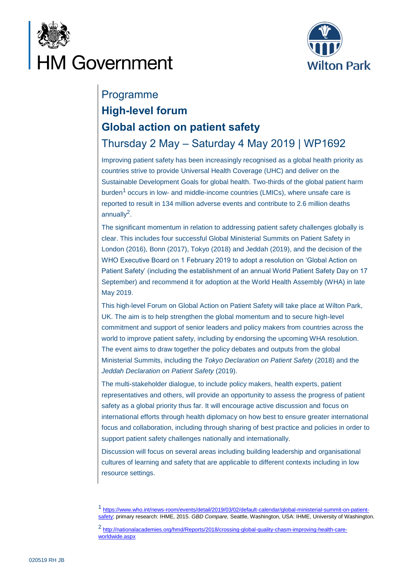



# Programme **High-level forum Global action on patient safety** Thursday 2 May – Saturday 4 May 2019 | WP1692

Improving patient safety has been increasingly recognised as a global health priority as countries strive to provide Universal Health Coverage (UHC) and deliver on the Sustainable Development Goals for global health. Two-thirds of the global patient harm burden<sup>1</sup> occurs in low- and middle-income countries (LMICs), where unsafe care is reported to result in 134 million adverse events and contribute to 2.6 million deaths annually<sup>2</sup>.

The significant momentum in relation to addressing patient safety challenges globally is clear. This includes four successful Global Ministerial Summits on Patient Safety in London (2016), Bonn (2017), Tokyo (2018) and Jeddah (2019), and the decision of the WHO Executive Board on 1 February 2019 to adopt a resolution on 'Global Action on Patient Safety' (including the establishment of an annual World Patient Safety Day on 17 September) and recommend it for adoption at the World Health Assembly (WHA) in late May 2019.

This high-level Forum on Global Action on Patient Safety will take place at Wilton Park, UK. The aim is to help strengthen the global momentum and to secure high-level commitment and support of senior leaders and policy makers from countries across the world to improve patient safety, including by endorsing the upcoming WHA resolution. The event aims to draw together the policy debates and outputs from the global Ministerial Summits, including the *Tokyo Declaration on Patient Safety* (2018) and the *Jeddah Declaration on Patient Safety* (2019).

The multi-stakeholder dialogue, to include policy makers, health experts, patient representatives and others, will provide an opportunity to assess the progress of patient safety as a global priority thus far. It will encourage active discussion and focus on international efforts through health diplomacy on how best to ensure greater international focus and collaboration, including through sharing of best practice and policies in order to support patient safety challenges nationally and internationally.

Discussion will focus on several areas including building leadership and organisational cultures of learning and safety that are applicable to different contexts including in low resource settings.

<sup>1</sup> [https://www.who.int/news-room/events/detail/2019/03/02/default-calendar/global-ministerial-summit-on-patient](https://www.who.int/news-room/events/detail/2019/03/02/default-calendar/global-ministerial-summit-on-patient-safety)[safety;](https://www.who.int/news-room/events/detail/2019/03/02/default-calendar/global-ministerial-summit-on-patient-safety) primary research: IHME, 2015. *GBD Compare,* Seattle, Washington, USA: IHME, University of Washington.

<sup>&</sup>lt;sup>2</sup> [http://nationalacademies.org/hmd/Reports/2018/crossing-global-quality-chasm-improving-health-care](http://nationalacademies.org/hmd/Reports/2018/crossing-global-quality-chasm-improving-health-care-worldwide.aspx)[worldwide.aspx](http://nationalacademies.org/hmd/Reports/2018/crossing-global-quality-chasm-improving-health-care-worldwide.aspx)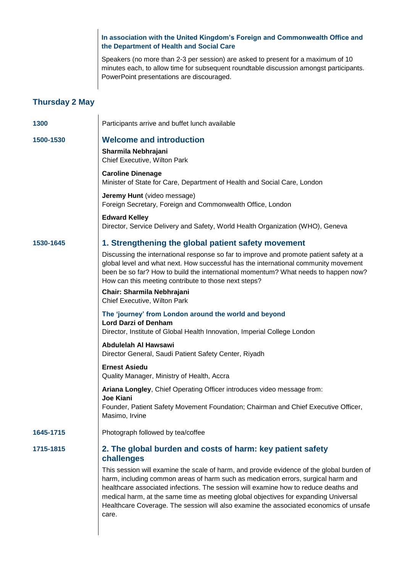**In association with the United Kingdom's Foreign and Commonwealth Office and the Department of Health and Social Care**

Speakers (no more than 2-3 per session) are asked to present for a maximum of 10 minutes each, to allow time for subsequent roundtable discussion amongst participants. PowerPoint presentations are discouraged.

# **Thursday 2 May**

 $\mathbf{I}$ 

| 1300      | Participants arrive and buffet lunch available                                                                                                                                                                                                                                                                                                                                                                                                                 |  |  |
|-----------|----------------------------------------------------------------------------------------------------------------------------------------------------------------------------------------------------------------------------------------------------------------------------------------------------------------------------------------------------------------------------------------------------------------------------------------------------------------|--|--|
| 1500-1530 | <b>Welcome and introduction</b><br>Sharmila Nebhrajani<br>Chief Executive, Wilton Park                                                                                                                                                                                                                                                                                                                                                                         |  |  |
|           | <b>Caroline Dinenage</b><br>Minister of State for Care, Department of Health and Social Care, London                                                                                                                                                                                                                                                                                                                                                           |  |  |
|           | Jeremy Hunt (video message)<br>Foreign Secretary, Foreign and Commonwealth Office, London                                                                                                                                                                                                                                                                                                                                                                      |  |  |
|           | <b>Edward Kelley</b><br>Director, Service Delivery and Safety, World Health Organization (WHO), Geneva                                                                                                                                                                                                                                                                                                                                                         |  |  |
| 1530-1645 | 1. Strengthening the global patient safety movement<br>Discussing the international response so far to improve and promote patient safety at a<br>global level and what next. How successful has the international community movement                                                                                                                                                                                                                          |  |  |
|           | been be so far? How to build the international momentum? What needs to happen now?<br>How can this meeting contribute to those next steps?                                                                                                                                                                                                                                                                                                                     |  |  |
|           | Chair: Sharmila Nebhrajani<br>Chief Executive, Wilton Park                                                                                                                                                                                                                                                                                                                                                                                                     |  |  |
|           | The 'journey' from London around the world and beyond<br><b>Lord Darzi of Denham</b><br>Director, Institute of Global Health Innovation, Imperial College London                                                                                                                                                                                                                                                                                               |  |  |
|           | Abdulelah Al Hawsawi<br>Director General, Saudi Patient Safety Center, Riyadh                                                                                                                                                                                                                                                                                                                                                                                  |  |  |
|           | <b>Ernest Asiedu</b><br>Quality Manager, Ministry of Health, Accra                                                                                                                                                                                                                                                                                                                                                                                             |  |  |
|           | Ariana Longley, Chief Operating Officer introduces video message from:                                                                                                                                                                                                                                                                                                                                                                                         |  |  |
|           | <b>Joe Kiani</b><br>Founder, Patient Safety Movement Foundation; Chairman and Chief Executive Officer,<br>Masimo, Irvine                                                                                                                                                                                                                                                                                                                                       |  |  |
| 1645-1715 | Photograph followed by tea/coffee                                                                                                                                                                                                                                                                                                                                                                                                                              |  |  |
| 1715-1815 | 2. The global burden and costs of harm: key patient safety<br>challenges                                                                                                                                                                                                                                                                                                                                                                                       |  |  |
|           | This session will examine the scale of harm, and provide evidence of the global burden of<br>harm, including common areas of harm such as medication errors, surgical harm and<br>healthcare associated infections. The session will examine how to reduce deaths and<br>medical harm, at the same time as meeting global objectives for expanding Universal<br>Healthcare Coverage. The session will also examine the associated economics of unsafe<br>care. |  |  |
|           |                                                                                                                                                                                                                                                                                                                                                                                                                                                                |  |  |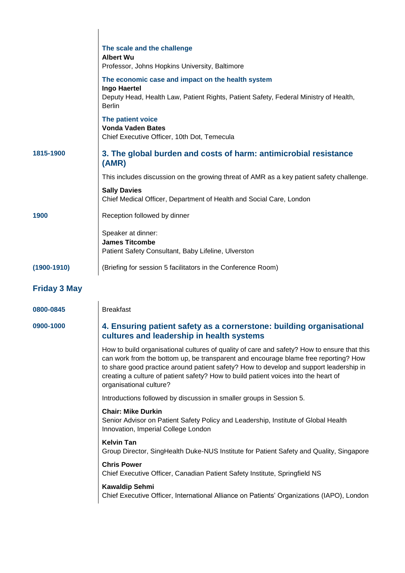|                     | The scale and the challenge<br><b>Albert Wu</b><br>Professor, Johns Hopkins University, Baltimore                                                                                                                                                                                                                                                                                              |  |
|---------------------|------------------------------------------------------------------------------------------------------------------------------------------------------------------------------------------------------------------------------------------------------------------------------------------------------------------------------------------------------------------------------------------------|--|
|                     | The economic case and impact on the health system<br><b>Ingo Haertel</b><br>Deputy Head, Health Law, Patient Rights, Patient Safety, Federal Ministry of Health,<br><b>Berlin</b>                                                                                                                                                                                                              |  |
|                     | The patient voice<br><b>Vonda Vaden Bates</b><br>Chief Executive Officer, 10th Dot, Temecula                                                                                                                                                                                                                                                                                                   |  |
| 1815-1900           | 3. The global burden and costs of harm: antimicrobial resistance<br>(AMR)                                                                                                                                                                                                                                                                                                                      |  |
|                     | This includes discussion on the growing threat of AMR as a key patient safety challenge.                                                                                                                                                                                                                                                                                                       |  |
|                     | <b>Sally Davies</b><br>Chief Medical Officer, Department of Health and Social Care, London                                                                                                                                                                                                                                                                                                     |  |
| 1900                | Reception followed by dinner                                                                                                                                                                                                                                                                                                                                                                   |  |
|                     | Speaker at dinner:<br><b>James Titcombe</b><br>Patient Safety Consultant, Baby Lifeline, Ulverston                                                                                                                                                                                                                                                                                             |  |
| $(1900 - 1910)$     | (Briefing for session 5 facilitators in the Conference Room)                                                                                                                                                                                                                                                                                                                                   |  |
| <b>Friday 3 May</b> |                                                                                                                                                                                                                                                                                                                                                                                                |  |
| 0800-0845           | <b>Breakfast</b>                                                                                                                                                                                                                                                                                                                                                                               |  |
| 0900-1000           | 4. Ensuring patient safety as a cornerstone: building organisational<br>cultures and leadership in health systems                                                                                                                                                                                                                                                                              |  |
|                     | How to build organisational cultures of quality of care and safety? How to ensure that this<br>can work from the bottom up, be transparent and encourage blame free reporting? How<br>to share good practice around patient safety? How to develop and support leadership in<br>creating a culture of patient safety? How to build patient voices into the heart of<br>organisational culture? |  |
|                     | Introductions followed by discussion in smaller groups in Session 5.                                                                                                                                                                                                                                                                                                                           |  |
|                     | <b>Chair: Mike Durkin</b><br>Senior Advisor on Patient Safety Policy and Leadership, Institute of Global Health<br>Innovation, Imperial College London                                                                                                                                                                                                                                         |  |
|                     | <b>Kelvin Tan</b><br>Group Director, SingHealth Duke-NUS Institute for Patient Safety and Quality, Singapore                                                                                                                                                                                                                                                                                   |  |
|                     | <b>Chris Power</b><br>Chief Executive Officer, Canadian Patient Safety Institute, Springfield NS                                                                                                                                                                                                                                                                                               |  |
|                     | <b>Kawaldip Sehmi</b><br>Chief Executive Officer, International Alliance on Patients' Organizations (IAPO), London                                                                                                                                                                                                                                                                             |  |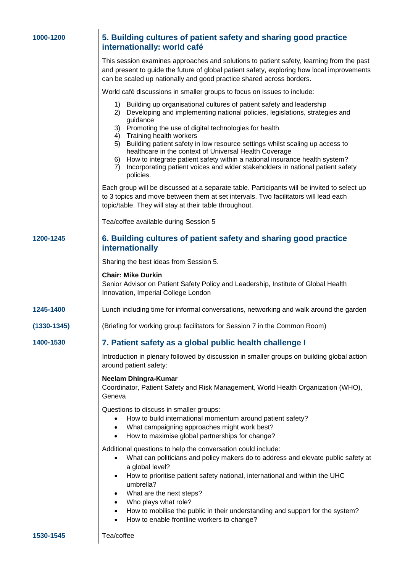| 1000-1200 |  |  |  |  |  |
|-----------|--|--|--|--|--|
|-----------|--|--|--|--|--|

# **1000-1200 5. Building cultures of patient safety and sharing good practice internationally: world café**

This session examines approaches and solutions to patient safety, learning from the past and present to guide the future of global patient safety, exploring how local improvements can be scaled up nationally and good practice shared across borders.

World café discussions in smaller groups to focus on issues to include:

- 1) Building up organisational cultures of patient safety and leadership
- 2) Developing and implementing national policies, legislations, strategies and guidance
- 3) Promoting the use of digital technologies for health
- 4) Training health workers
- 5) Building patient safety in low resource settings whilst scaling up access to healthcare in the context of Universal Health Coverage
- 6) How to integrate patient safety within a national insurance health system?
- 7) Incorporating patient voices and wider stakeholders in national patient safety policies.

Each group will be discussed at a separate table. Participants will be invited to select up to 3 topics and move between them at set intervals. Two facilitators will lead each topic/table. They will stay at their table throughout.

Tea/coffee available during Session 5

## **1200-1245 6. Building cultures of patient safety and sharing good practice internationally**

Sharing the best ideas from Session 5.

### **Chair: Mike Durkin**

Senior Advisor on Patient Safety Policy and Leadership, Institute of Global Health Innovation, Imperial College London

- **1245-1400** Lunch including time for informal conversations, networking and walk around the garden
- **(1330-1345)** (Briefing for working group facilitators for Session 7 in the Common Room)
- 

## **1400-1530 7. Patient safety as a global public health challenge I**

Introduction in plenary followed by discussion in smaller groups on building global action around patient safety:

### **Neelam Dhingra-Kumar**

Coordinator, Patient Safety and Risk Management, World Health Organization (WHO), Geneva

Questions to discuss in smaller groups:

- How to build international momentum around patient safety?
- What campaigning approaches might work best?
- How to maximise global partnerships for change?

Additional questions to help the conversation could include:

- What can politicians and policy makers do to address and elevate public safety at a global level?
- How to prioritise patient safety national, international and within the UHC umbrella?
- What are the next steps?
- Who plays what role?
- How to mobilise the public in their understanding and support for the system?
- How to enable frontline workers to change?